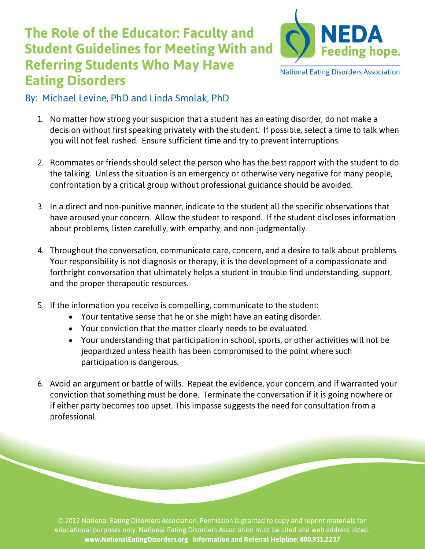## **The Role of the Educator: Faculty and Student Guidelines for Meeting With and Referring Students Who May Have Eating Disorders**



**National Eating Disorders Association** 

## By: Michael Levine, PhD and Linda Smolak, PhD

- 1. No matter how strong your suspicion that a student has an eating disorder, do not make a decision without first speaking privately with the student. If possible, select a time to talk when you will not feel rushed. Ensure sufficient time and try to prevent interruptions.
- 2. Roommates or friends should select the person who has the best rapport with the student to do the talking. Unless the situation is an emergency or otherwise very negative for many people, confrontation by a critical group without professional guidance should be avoided.
- 3. In a direct and non-punitive manner, indicate to the student all the specific observations that have aroused your concern. Allow the student to respond. If the student discloses information about problems, listen carefully, with empathy, and non-judgmentally.
- 4. Throughout the conversation, communicate care, concern, and a desire to talk about problems. Your responsibility is not diagnosis or therapy, it is the development of a compassionate and forthright conversation that ultimately helps a student in trouble find understanding, support, and the proper therapeutic resources.
- 5. If the information you receive is compelling, communicate to the student:
	- Your tentative sense that he or she might have an eating disorder.
	- Your conviction that the matter clearly needs to be evaluated.
	- Your understanding that participation in school, sports, or other activities will not be jeopardized unless health has been compromised to the point where such participation is dangerous.
- 6. Avoid an argument or battle of wills. Repeat the evidence, your concern, and if warranted your conviction that something must be done. Terminate the conversation if it is going nowhere or if either party becomes too upset. This impasse suggests the need for consultation from a professional.

© 2012 National Eating Disorders Association. Permission is granted to copy and reprint materials for educational purposes only. National Eating Disorders Association must be cited and web address listed. **www.NationalEatingDisorders.org Information and Referral Helpline: 800.931.2237**